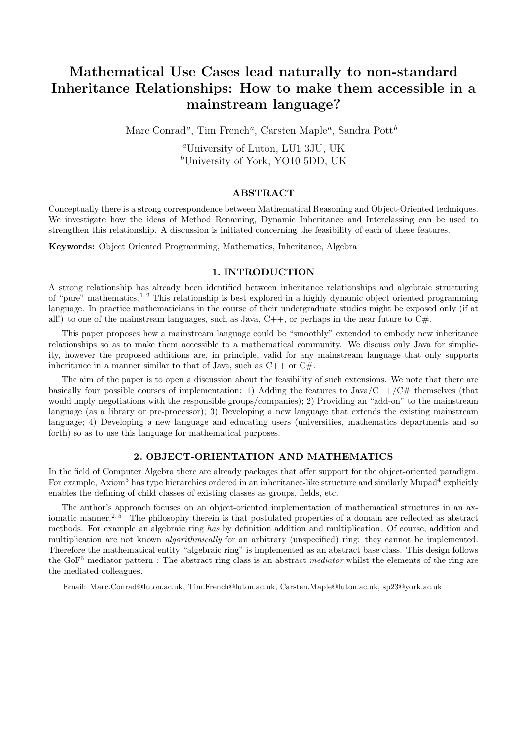# Mathematical Use Cases lead naturally to non-standard Inheritance Relationships: How to make them accessible in a mainstream language?

Marc Conrad<sup>a</sup>, Tim French<sup>a</sup>, Carsten Maple<sup>a</sup>, Sandra Pott<sup>b</sup>

<sup>a</sup>University of Luton, LU1 3JU, UK  $b$ University of York, YO10 5DD, UK

# ABSTRACT

Conceptually there is a strong correspondence between Mathematical Reasoning and Object-Oriented techniques. We investigate how the ideas of Method Renaming, Dynamic Inheritance and Interclassing can be used to strengthen this relationship. A discussion is initiated concerning the feasibility of each of these features.

Keywords: Object Oriented Programming, Mathematics, Inheritance, Algebra

# 1. INTRODUCTION

A strong relationship has already been identified between inheritance relationships and algebraic structuring of "pure" mathematics.<sup>1, 2</sup> This relationship is best explored in a highly dynamic object oriented programming language. In practice mathematicians in the course of their undergraduate studies might be exposed only (if at all!) to one of the mainstream languages, such as Java,  $C++$ , or perhaps in the near future to  $C\#$ .

This paper proposes how a mainstream language could be "smoothly" extended to embody new inheritance relationships so as to make them accessible to a mathematical community. We discuss only Java for simplicity, however the proposed additions are, in principle, valid for any mainstream language that only supports inheritance in a manner similar to that of Java, such as  $C_{++}$  or  $C_{\#}$ .

The aim of the paper is to open a discussion about the feasibility of such extensions. We note that there are basically four possible courses of implementation: 1) Adding the features to  $Java/C++/C#$  themselves (that would imply negotiations with the responsible groups/companies); 2) Providing an "add-on" to the mainstream language (as a library or pre-processor); 3) Developing a new language that extends the existing mainstream language; 4) Developing a new language and educating users (universities, mathematics departments and so forth) so as to use this language for mathematical purposes.

# 2. OBJECT-ORIENTATION AND MATHEMATICS

In the field of Computer Algebra there are already packages that offer support for the object-oriented paradigm. For example, Axiom<sup>3</sup> has type hierarchies ordered in an inheritance-like structure and similarly Mupad<sup>4</sup> explicitly enables the defining of child classes of existing classes as groups, fields, etc.

The author's approach focuses on an object-oriented implementation of mathematical structures in an axiomatic manner.<sup>2, 5</sup> The philosophy therein is that postulated properties of a domain are reflected as abstract methods. For example an algebraic ring has by definition addition and multiplication. Of course, addition and multiplication are not known algorithmically for an arbitrary (unspecified) ring: they cannot be implemented. Therefore the mathematical entity "algebraic ring" is implemented as an abstract base class. This design follows the GoF<sup>6</sup> mediator pattern : The abstract ring class is an abstract *mediator* whilst the elements of the ring are the mediated colleagues.

Email: Marc.Conrad@luton.ac.uk, Tim.French@luton.ac.uk, Carsten.Maple@luton.ac.uk, sp23@york.ac.uk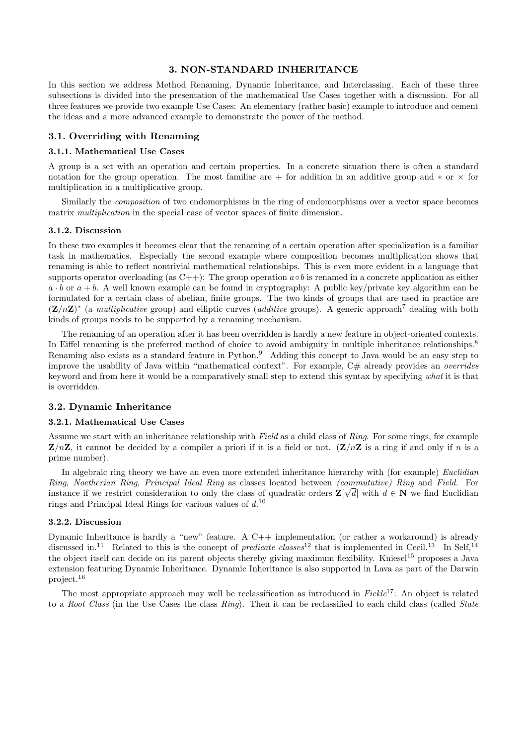## 3. NON-STANDARD INHERITANCE

In this section we address Method Renaming, Dynamic Inheritance, and Interclassing. Each of these three subsections is divided into the presentation of the mathematical Use Cases together with a discussion. For all three features we provide two example Use Cases: An elementary (rather basic) example to introduce and cement the ideas and a more advanced example to demonstrate the power of the method.

## 3.1. Overriding with Renaming

## 3.1.1. Mathematical Use Cases

A group is a set with an operation and certain properties. In a concrete situation there is often a standard notation for the group operation. The most familiar are + for addition in an additive group and  $\ast$  or  $\times$  for multiplication in a multiplicative group.

Similarly the composition of two endomorphisms in the ring of endomorphisms over a vector space becomes matrix *multiplication* in the special case of vector spaces of finite dimension.

## 3.1.2. Discussion

In these two examples it becomes clear that the renaming of a certain operation after specialization is a familiar task in mathematics. Especially the second example where composition becomes multiplication shows that renaming is able to reflect nontrivial mathematical relationships. This is even more evident in a language that supports operator overloading (as C++): The group operation  $a \circ b$  is renamed in a concrete application as either  $a \cdot b$  or  $a + b$ . A well known example can be found in cryptography: A public key/private key algorithm can be formulated for a certain class of abelian, finite groups. The two kinds of groups that are used in practice are  $(\mathbf{Z}/n\mathbf{Z})^*$  (a multiplicative group) and elliptic curves (*additive* groups). A generic approach<sup>7</sup> dealing with both kinds of groups needs to be supported by a renaming mechanism.

The renaming of an operation after it has been overridden is hardly a new feature in object-oriented contexts. In Eiffel renaming is the preferred method of choice to avoid ambiguity in multiple inheritance relationships.<sup>8</sup> Renaming also exists as a standard feature in Python.<sup>9</sup> Adding this concept to Java would be an easy step to improve the usability of Java within "mathematical context". For example,  $C#$  already provides an *overrides* keyword and from here it would be a comparatively small step to extend this syntax by specifying what it is that is overridden.

### 3.2. Dynamic Inheritance

#### 3.2.1. Mathematical Use Cases

Assume we start with an inheritance relationship with Field as a child class of Ring. For some rings, for example  $\mathbf{Z}/n\mathbf{Z}$ , it cannot be decided by a compiler a priori if it is a field or not.  $(\mathbf{Z}/n\mathbf{Z})$  is a ring if and only if n is a prime number).

In algebraic ring theory we have an even more extended inheritance hierarchy with (for example) *Euclidian* Ring, Noetherian Ring, Principal Ideal Ring as classes located between (commutative) Ring and Field. For instance if we restrict consideration to only the class of quadratic orders  $\mathbf{Z}[\sqrt{d}]$  with  $d \in \mathbf{N}$  we find Euclidian rings and Principal Ideal Rings for various values of  $d<sup>10</sup>$ 

## 3.2.2. Discussion

Dynamic Inheritance is hardly a "new" feature. A C++ implementation (or rather a workaround) is already discussed in.<sup>11</sup> Related to this is the concept of *predicate classes*<sup>12</sup> that is implemented in Cecil.<sup>13</sup> In Self,<sup>14</sup> the object itself can decide on its parent objects thereby giving maximum flexibility. Kniesel<sup>15</sup> proposes a Java extension featuring Dynamic Inheritance. Dynamic Inheritance is also supported in Lava as part of the Darwin project.<sup>16</sup>

The most appropriate approach may well be reclassification as introduced in Fickle<sup>17</sup>: An object is related to a Root Class (in the Use Cases the class  $Ring$ ). Then it can be reclassified to each child class (called State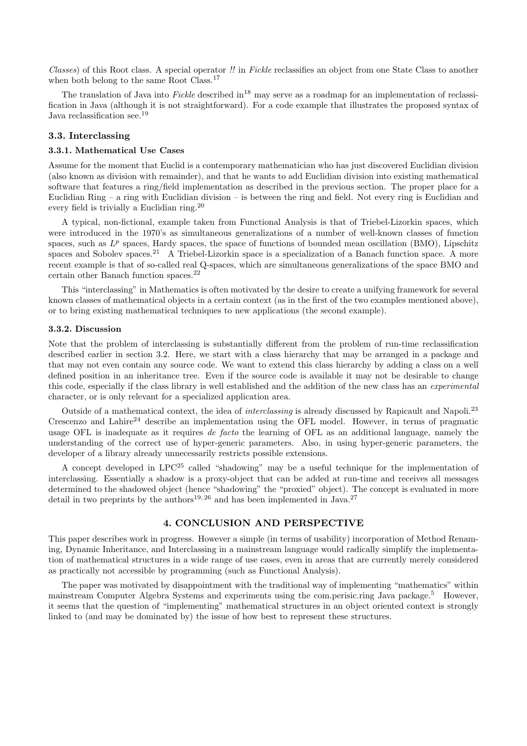Classes) of this Root class. A special operator !! in Fickle reclassifies an object from one State Class to another when both belong to the same Root Class.<sup>17</sup>

The translation of Java into Fickle described in<sup>18</sup> may serve as a roadmap for an implementation of reclassification in Java (although it is not straightforward). For a code example that illustrates the proposed syntax of Java reclassification see.<sup>19</sup>

# 3.3. Interclassing

## 3.3.1. Mathematical Use Cases

Assume for the moment that Euclid is a contemporary mathematician who has just discovered Euclidian division (also known as division with remainder), and that he wants to add Euclidian division into existing mathematical software that features a ring/field implementation as described in the previous section. The proper place for a Euclidian Ring – a ring with Euclidian division – is between the ring and field. Not every ring is Euclidian and every field is trivially a Euclidian ring.<sup>20</sup>

A typical, non-fictional, example taken from Functional Analysis is that of Triebel-Lizorkin spaces, which were introduced in the 1970's as simultaneous generalizations of a number of well-known classes of function spaces, such as  $L^p$  spaces, Hardy spaces, the space of functions of bounded mean oscillation (BMO), Lipschitz spaces and Sobolev spaces.<sup>21</sup> A Triebel-Lizorkin space is a specialization of a Banach function space. A more recent example is that of so-called real Q-spaces, which are simultaneous generalizations of the space BMO and certain other Banach function spaces.<sup>22</sup>

This "interclassing" in Mathematics is often motivated by the desire to create a unifying framework for several known classes of mathematical objects in a certain context (as in the first of the two examples mentioned above), or to bring existing mathematical techniques to new applications (the second example).

#### 3.3.2. Discussion

Note that the problem of interclassing is substantially different from the problem of run-time reclassification described earlier in section 3.2. Here, we start with a class hierarchy that may be arranged in a package and that may not even contain any source code. We want to extend this class hierarchy by adding a class on a well defined position in an inheritance tree. Even if the source code is available it may not be desirable to change this code, especially if the class library is well established and the addition of the new class has an experimental character, or is only relevant for a specialized application area.

Outside of a mathematical context, the idea of interclassing is already discussed by Rapicault and Napoli.<sup>23</sup> Crescenzo and Lahire<sup>24</sup> describe an implementation using the OFL model. However, in terms of pragmatic usage OFL is inadequate as it requires *de facto* the learning of OFL as an additional language, namely the understanding of the correct use of hyper-generic parameters. Also, in using hyper-generic parameters, the developer of a library already unnecessarily restricts possible extensions.

A concept developed in LPC<sup>25</sup> called "shadowing" may be a useful technique for the implementation of interclassing. Essentially a shadow is a proxy-object that can be added at run-time and receives all messages determined to the shadowed object (hence "shadowing" the "proxied" object). The concept is evaluated in more detail in two preprints by the authors<sup>19, 26</sup> and has been implemented in Java.<sup>27</sup>

# 4. CONCLUSION AND PERSPECTIVE

This paper describes work in progress. However a simple (in terms of usability) incorporation of Method Renaming, Dynamic Inheritance, and Interclassing in a mainstream language would radically simplify the implementation of mathematical structures in a wide range of use cases, even in areas that are currently merely considered as practically not accessible by programming (such as Functional Analysis).

The paper was motivated by disappointment with the traditional way of implementing "mathematics" within mainstream Computer Algebra Systems and experiments using the com.perisic.ring Java package.<sup>5</sup> However, it seems that the question of "implementing" mathematical structures in an object oriented context is strongly linked to (and may be dominated by) the issue of how best to represent these structures.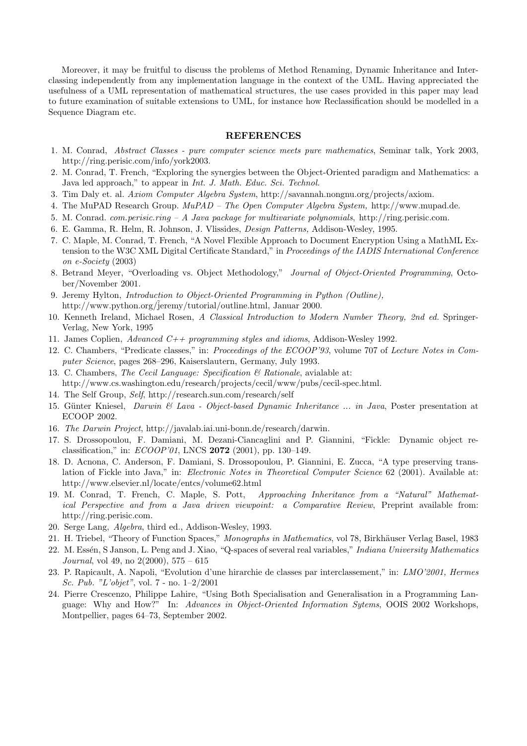Moreover, it may be fruitful to discuss the problems of Method Renaming, Dynamic Inheritance and Interclassing independently from any implementation language in the context of the UML. Having appreciated the usefulness of a UML representation of mathematical structures, the use cases provided in this paper may lead to future examination of suitable extensions to UML, for instance how Reclassification should be modelled in a Sequence Diagram etc.

#### REFERENCES

- 1. M. Conrad, Abstract Classes pure computer science meets pure mathematics, Seminar talk, York 2003, http://ring.perisic.com/info/york2003.
- 2. M. Conrad, T. French, "Exploring the synergies between the Object-Oriented paradigm and Mathematics: a Java led approach," to appear in Int. J. Math. Educ. Sci. Technol.
- 3. Tim Daly et. al. Axiom Computer Algebra System, http://savannah.nongnu.org/projects/axiom.
- 4. The MuPAD Research Group. MuPAD The Open Computer Algebra System, http://www.mupad.de.
- 5. M. Conrad. com.perisic.ring A Java package for multivariate polynomials, http://ring.perisic.com.
- 6. E. Gamma, R. Helm, R. Johnson, J. Vlissides, Design Patterns, Addison-Wesley, 1995.
- 7. C. Maple, M. Conrad, T. French, "A Novel Flexible Approach to Document Encryption Using a MathML Extension to the W3C XML Digital Certificate Standard," in Proceedings of the IADIS International Conference on e-Society (2003)
- 8. Betrand Meyer, "Overloading vs. Object Methodology," Journal of Object-Oriented Programming, October/November 2001.
- 9. Jeremy Hylton, Introduction to Object-Oriented Programming in Python (Outline), http://www.python.org/jeremy/tutorial/outline.html, Januar 2000.
- 10. Kenneth Ireland, Michael Rosen, A Classical Introduction to Modern Number Theory, 2nd ed. Springer-Verlag, New York, 1995
- 11. James Coplien, Advanced C++ programming styles and idioms, Addison-Wesley 1992.
- 12. C. Chambers, "Predicate classes," in: Proceedings of the ECOOP'93, volume 707 of Lecture Notes in Computer Science, pages 268–296, Kaiserslautern, Germany, July 1993.
- 13. C. Chambers, The Cecil Language: Specification  $\mathcal B$  Rationale, avialable at: http://www.cs.washington.edu/research/projects/cecil/www/pubs/cecil-spec.html.
- 14. The Self Group, Self, http://research.sun.com/research/self
- 15. Günter Kniesel, Darwin & Lava Object-based Dynamic Inheritance ... in Java, Poster presentation at ECOOP 2002.
- 16. The Darwin Project, http://javalab.iai.uni-bonn.de/research/darwin.
- 17. S. Drossopoulou, F. Damiani, M. Dezani-Ciancaglini and P. Giannini, "Fickle: Dynamic object reclassification," in: ECOOP'01, LNCS 2072 (2001), pp. 130–149.
- 18. D. Acnona, C. Anderson, F. Damiani, S. Drossopoulou, P. Giannini, E. Zucca, "A type preserving translation of Fickle into Java," in: Electronic Notes in Theoretical Computer Science 62 (2001). Available at: http://www.elsevier.nl/locate/entcs/volume62.html
- 19. M. Conrad, T. French, C. Maple, S. Pott, Approaching Inheritance from a "Natural" Mathematical Perspective and from a Java driven viewpoint: a Comparative Review, Preprint available from: http://ring.perisic.com.
- 20. Serge Lang, Algebra, third ed., Addison-Wesley, 1993.
- 21. H. Triebel, "Theory of Function Spaces," Monographs in Mathematics, vol 78, Birkhäuser Verlag Basel, 1983
- 22. M. Essén, S Janson, L. Peng and J. Xiao, "O-spaces of several real variables," Indiana University Mathematics Journal, vol 49, no  $2(2000)$ ,  $575 - 615$
- 23. P. Rapicault, A. Napoli, "Evolution d'une hirarchie de classes par interclassement," in: LMO'2001, Hermes Sc. Pub. "L'objet", vol. 7 - no. 1–2/2001
- 24. Pierre Crescenzo, Philippe Lahire, "Using Both Specialisation and Generalisation in a Programming Language: Why and How?" In: Advances in Object-Oriented Information Sytems, OOIS 2002 Workshops, Montpellier, pages 64–73, September 2002.